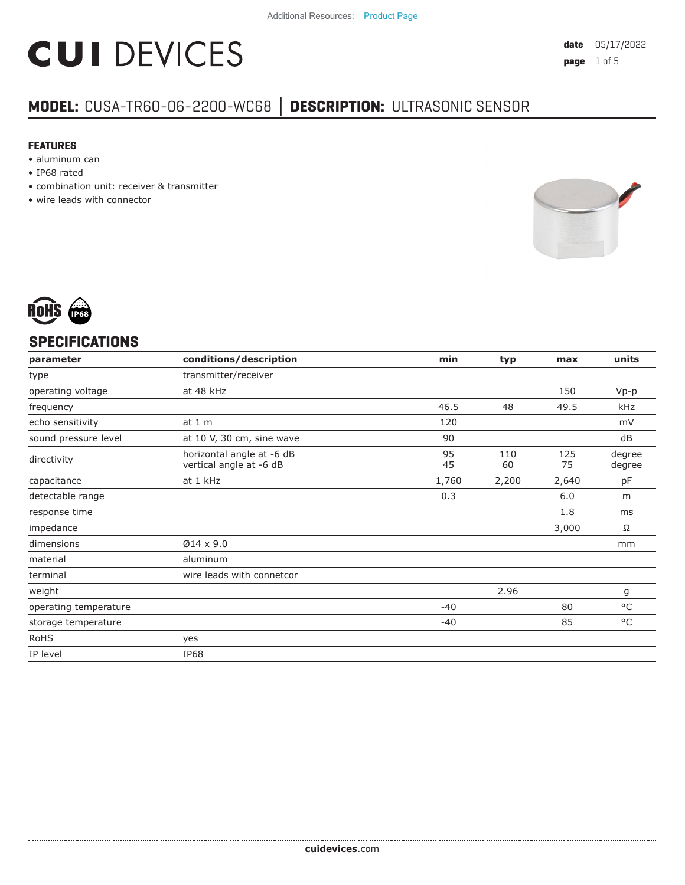# **CUI DEVICES**

### **MODEL:** CUSA-TR60-06-2200-WC68 **│ DESCRIPTION:** ULTRASONIC SENSOR

#### **FEATURES**

- aluminum can
- IP68 rated
- combination unit: receiver & transmitter
- wire leads with connector





#### **SPECIFICATIONS**

| parameter             | conditions/description                               | min      | typ       | max       | units            |
|-----------------------|------------------------------------------------------|----------|-----------|-----------|------------------|
| type                  | transmitter/receiver                                 |          |           |           |                  |
| operating voltage     | at 48 kHz                                            |          |           | 150       | $Vp-p$           |
| frequency             |                                                      | 46.5     | 48        | 49.5      | kHz              |
| echo sensitivity      | at $1m$                                              | 120      |           |           | mV               |
| sound pressure level  | at 10 V, 30 cm, sine wave                            | 90       |           |           | dB               |
| directivity           | horizontal angle at -6 dB<br>vertical angle at -6 dB | 95<br>45 | 110<br>60 | 125<br>75 | degree<br>degree |
| capacitance           | at 1 kHz                                             | 1,760    | 2,200     | 2,640     | pF               |
| detectable range      |                                                      | 0.3      |           | 6.0       | m                |
| response time         |                                                      |          |           | 1.8       | ms               |
| impedance             |                                                      |          |           | 3,000     | Ω                |
| dimensions            | $\varnothing$ 14 x 9.0                               |          |           |           | mm               |
| material              | aluminum                                             |          |           |           |                  |
| terminal              | wire leads with connetcor                            |          |           |           |                  |
| weight                |                                                      |          | 2.96      |           | g                |
| operating temperature |                                                      | $-40$    |           | 80        | $^{\circ}$ C     |
| storage temperature   |                                                      | $-40$    |           | 85        | $^{\circ}$ C     |
| <b>RoHS</b>           | yes                                                  |          |           |           |                  |
| IP level              | <b>IP68</b>                                          |          |           |           |                  |
|                       |                                                      |          |           |           |                  |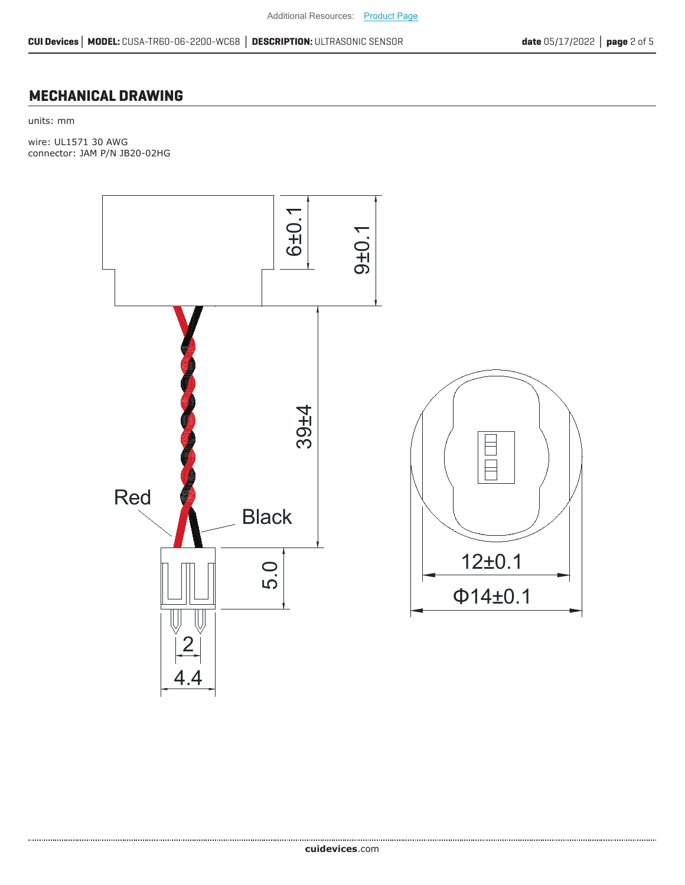#### **MECHANICAL DRAWING**

units: mm

wire: UL1571 30 AWG connector: JAM P/N JB20-02HG

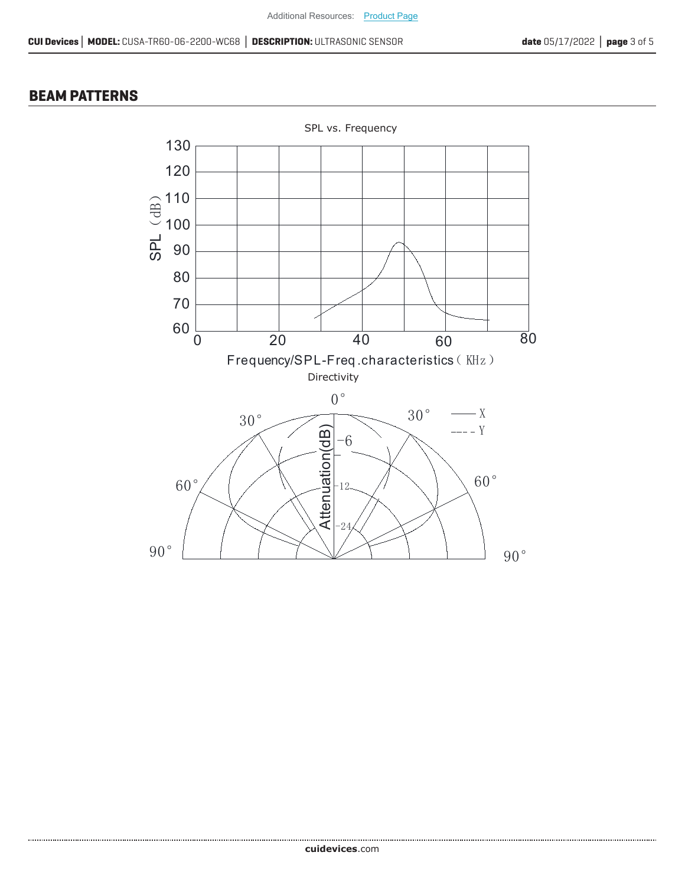#### **BEAM PATTERNS**

.....................

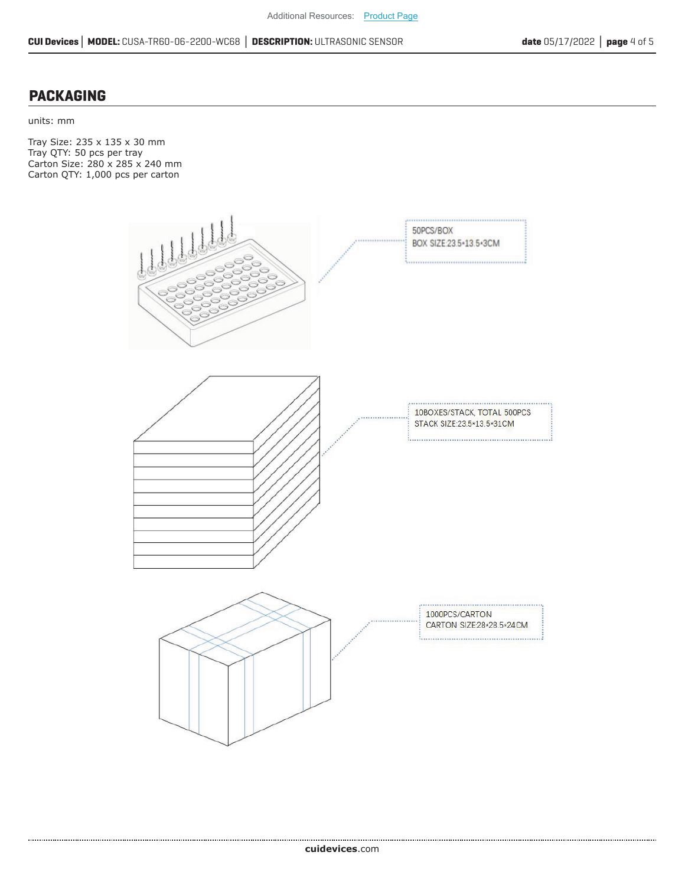#### **PACKAGING**

units: mm

Tray Size: 235 x 135 x 30 mm Tray QTY: 50 pcs per tray Carton Size: 280 x 285 x 240 mm Carton QTY: 1,000 pcs per carton